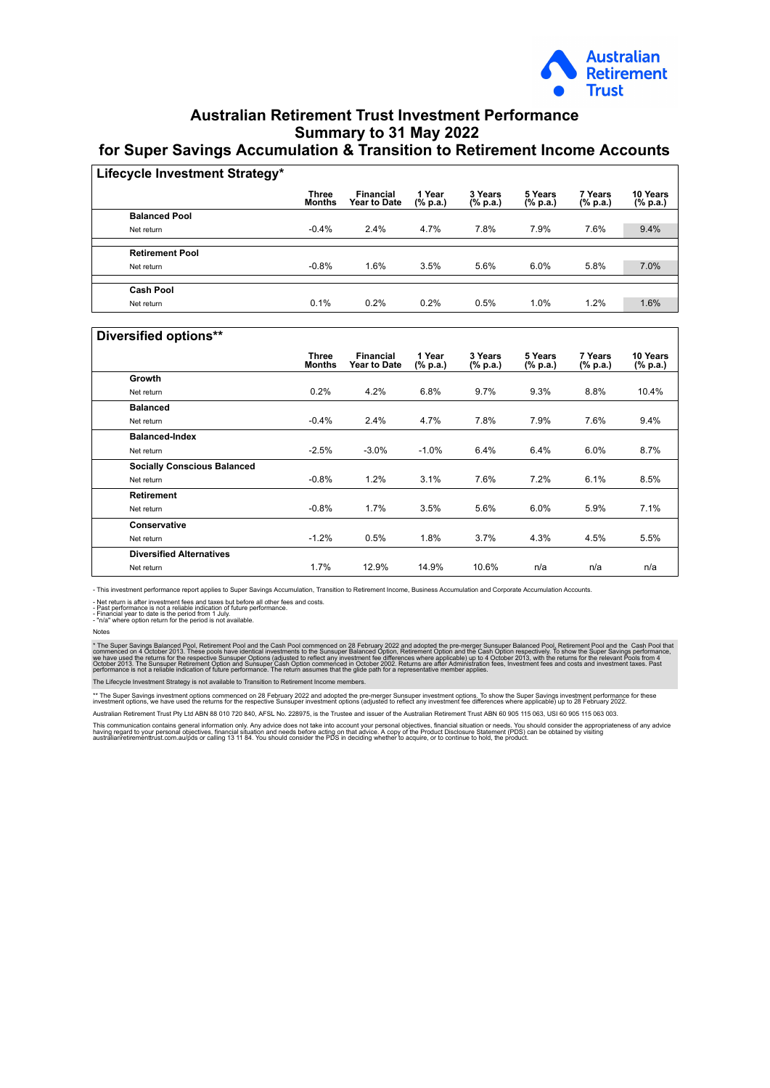

## **Australian Retirement Trust Investment Performance Summary to 31 May 2022 for Super Savings Accumulation & Transition to Retirement Income Accounts**

| Lifecycle Investment Strategy* |                               |                                         |                    |                     |                     |                     |                      |
|--------------------------------|-------------------------------|-----------------------------------------|--------------------|---------------------|---------------------|---------------------|----------------------|
|                                | <b>Three</b><br><b>Months</b> | <b>Financial</b><br><b>Year to Date</b> | 1 Year<br>(% p.a.) | 3 Years<br>(% p.a.) | 5 Years<br>(% p.a.) | 7 Years<br>(% p.a.) | 10 Years<br>(% p.a.) |
| <b>Balanced Pool</b>           |                               |                                         |                    |                     |                     |                     |                      |
| Net return                     | $-0.4%$                       | 2.4%                                    | 4.7%               | 7.8%                | 7.9%                | 7.6%                | 9.4%                 |
|                                |                               |                                         |                    |                     |                     |                     |                      |
| <b>Retirement Pool</b>         |                               |                                         |                    |                     |                     |                     |                      |
| Net return                     | $-0.8%$                       | 1.6%                                    | 3.5%               | 5.6%                | 6.0%                | 5.8%                | 7.0%                 |
|                                |                               |                                         |                    |                     |                     |                     |                      |
| <b>Cash Pool</b>               |                               |                                         |                    |                     |                     |                     |                      |
| Net return                     | 0.1%                          | 0.2%                                    | 0.2%               | 0.5%                | 1.0%                | 1.2%                | 1.6%                 |

## **Diversified options\*\***

|                                    | <b>Three</b><br><b>Months</b> | <b>Financial</b><br><b>Year to Date</b> | 1 Year<br>(% p.a.) | 3 Years<br>(% p.a.) | 5 Years<br>(% p.a.) | 7 Years<br>(% p.a.) | 10 Years<br>(% p.a.) |
|------------------------------------|-------------------------------|-----------------------------------------|--------------------|---------------------|---------------------|---------------------|----------------------|
| Growth                             |                               |                                         |                    |                     |                     |                     |                      |
| Net return                         | 0.2%                          | 4.2%                                    | 6.8%               | 9.7%                | 9.3%                | 8.8%                | 10.4%                |
| <b>Balanced</b>                    |                               |                                         |                    |                     |                     |                     |                      |
| Net return                         | $-0.4%$                       | 2.4%                                    | 4.7%               | 7.8%                | 7.9%                | 7.6%                | 9.4%                 |
| <b>Balanced-Index</b>              |                               |                                         |                    |                     |                     |                     |                      |
| Net return                         | $-2.5%$                       | $-3.0\%$                                | $-1.0%$            | 6.4%                | 6.4%                | 6.0%                | 8.7%                 |
| <b>Socially Conscious Balanced</b> |                               |                                         |                    |                     |                     |                     |                      |
| Net return                         | $-0.8%$                       | 1.2%                                    | 3.1%               | 7.6%                | 7.2%                | 6.1%                | 8.5%                 |
| <b>Retirement</b>                  |                               |                                         |                    |                     |                     |                     |                      |
| Net return                         | $-0.8%$                       | 1.7%                                    | 3.5%               | 5.6%                | 6.0%                | 5.9%                | 7.1%                 |
| Conservative                       |                               |                                         |                    |                     |                     |                     |                      |
| Net return                         | $-1.2%$                       | 0.5%                                    | 1.8%               | 3.7%                | 4.3%                | 4.5%                | 5.5%                 |
| <b>Diversified Alternatives</b>    |                               |                                         |                    |                     |                     |                     |                      |
| Net return                         | 1.7%                          | 12.9%                                   | 14.9%              | 10.6%               | n/a                 | n/a                 | n/a                  |
|                                    |                               |                                         |                    |                     |                     |                     |                      |

- This investment performance report applies to Super Savings Accumulation, Transition to Retirement Income, Business Accumulation and Corporate Accumulation Accounts.

- Net return is after investment fees and taxes but before all other fees and costs.<br>- Past performance is not a reliable indication of future performance.<br>- Financial year to date is the period from 1 July.<br>- "n/a" where

Notes

\* The Super Savings Balanced Pool, Retirement Pool and the Cash Pool commenced on 28 February 2022 and adopted the pre-merger Sunsuper Balanced Pool, Retirement Pool and the Cash Option respectively. To show the Super Savi

The Lifecycle Investment Strategy is not available to Transition to Retirement Income members.

\*\* The Super Savings investment options commenced on 28 February 2022 and adopted the pre-merger Supsuper investment options. To show the Super Savings investment repromance for these intered in the sufferences where appli Australian Retirement Trust Pty Ltd ABN 88 010 720 840, AFSL No. 228975, is the Trustee and issuer of the Australian Retirement Trust ABN 60 905 115 063, USI 60 905 115 063 003.

This communication contains general information only. Any advice does not take into account your personal objectives, financial situation or needs. You should consider the appropriateness of any advice<br>having regard to you